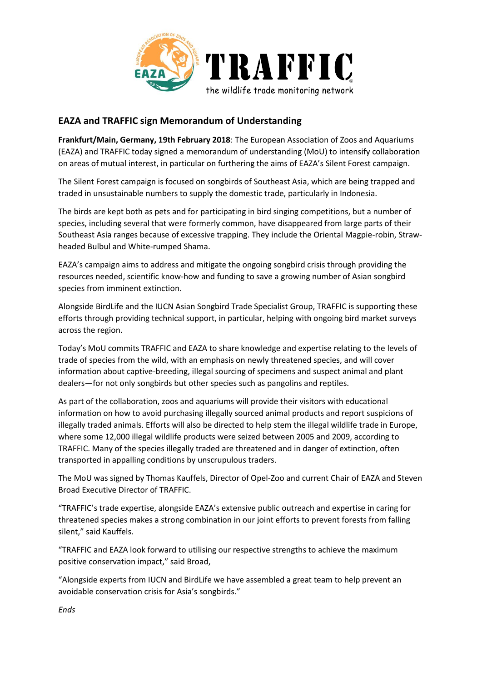

## **EAZA and TRAFFIC sign Memorandum of Understanding**

**Frankfurt/Main, Germany, 19th February 2018**: The European Association of Zoos and Aquariums (EAZA) and TRAFFIC today signed a memorandum of understanding (MoU) to intensify collaboration on areas of mutual interest, in particular on furthering the aims of EAZA's Silent Forest campaign.

The Silent Forest campaign is focused on songbirds of Southeast Asia, which are being trapped and traded in unsustainable numbers to supply the domestic trade, particularly in Indonesia.

The birds are kept both as pets and for participating in bird singing competitions, but a number of species, including several that were formerly common, have disappeared from large parts of their Southeast Asia ranges because of excessive trapping. They include the Oriental Magpie-robin, Strawheaded Bulbul and White-rumped Shama.

EAZA's campaign aims to address and mitigate the ongoing songbird crisis through providing the resources needed, scientific know-how and funding to save a growing number of Asian songbird species from imminent extinction.

Alongside BirdLife and the IUCN Asian Songbird Trade Specialist Group, TRAFFIC is supporting these efforts through providing technical support, in particular, helping with ongoing bird market surveys across the region.

Today's MoU commits TRAFFIC and EAZA to share knowledge and expertise relating to the levels of trade of species from the wild, with an emphasis on newly threatened species, and will cover information about captive-breeding, illegal sourcing of specimens and suspect animal and plant dealers—for not only songbirds but other species such as pangolins and reptiles.

As part of the collaboration, zoos and aquariums will provide their visitors with educational information on how to avoid purchasing illegally sourced animal products and report suspicions of illegally traded animals. Efforts will also be directed to help stem the illegal wildlife trade in Europe, where some 12,000 illegal wildlife products were seized between 2005 and 2009, according to TRAFFIC. Many of the species illegally traded are threatened and in danger of extinction, often transported in appalling conditions by unscrupulous traders.

The MoU was signed by Thomas Kauffels, Director of Opel-Zoo and current Chair of EAZA and Steven Broad Executive Director of TRAFFIC.

"TRAFFIC's trade expertise, alongside EAZA's extensive public outreach and expertise in caring for threatened species makes a strong combination in our joint efforts to prevent forests from falling silent," said Kauffels.

"TRAFFIC and EAZA look forward to utilising our respective strengths to achieve the maximum positive conservation impact," said Broad,

"Alongside experts from IUCN and BirdLife we have assembled a great team to help prevent an avoidable conservation crisis for Asia's songbirds."

*Ends*